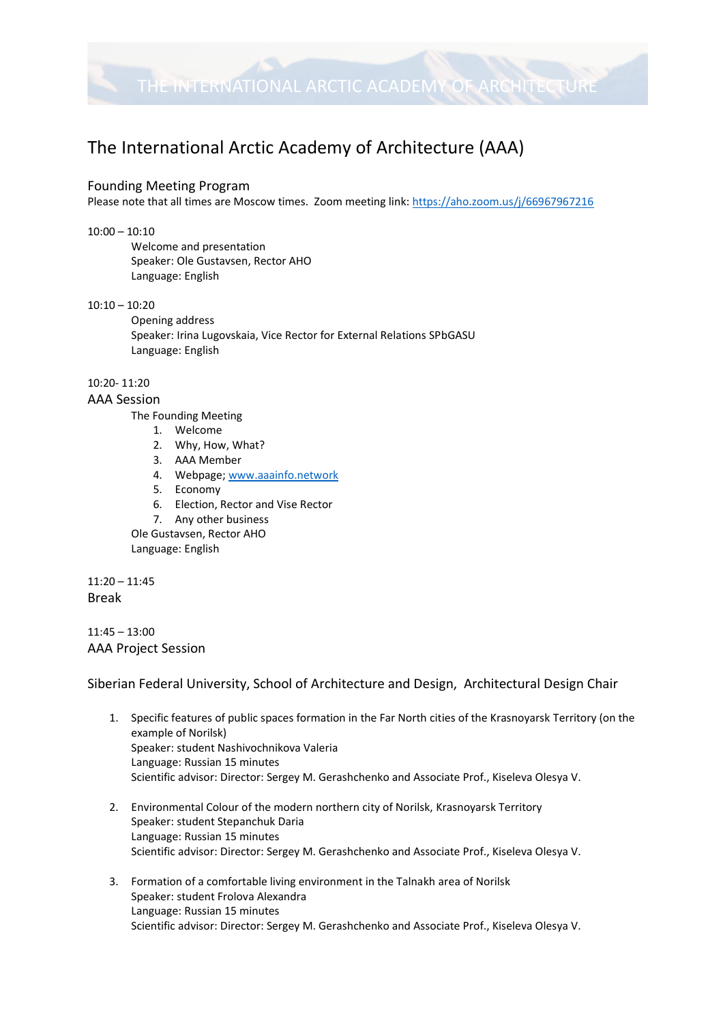

# The International Arctic Academy of Architecture (AAA)

#### Founding Meeting Program

Please note that all times are Moscow times. Zoom meeting link:<https://aho.zoom.us/j/66967967216>

#### 10:00 – 10:10

Welcome and presentation Speaker: Ole Gustavsen, Rector AHO Language: English

#### 10:10 – 10:20

Opening address Speaker: Irina Lugovskaia, Vice Rector for External Relations SPbGASU Language: English

#### 10:20- 11:20

#### AAA Session

The Founding Meeting

- 1. Welcome
- 2. Why, How, What?
- 3. AAA Member
- 4. Webpage; [www.aaainfo.network](http://www.aaainfo.network/)
- 5. Economy
- 6. Election, Rector and Vise Rector
- 7. Any other business

Ole Gustavsen, Rector AHO Language: English

11:20 – 11:45 Break

11:45 – 13:00 AAA Project Session

Siberian Federal University, School of Architecture and Design, Architectural Design Chair

- 1. Specific features of public spaces formation in the Far North cities of the Krasnoyarsk Territory (on the example of Norilsk) Speaker: student Nashivochnikova Valeria Language: Russian 15 minutes Scientific advisor: Director: Sergey M. Gerashchenko and Associate Prof., Kiseleva Olesya V.
- 2. Environmental Colour of the modern northern city of Norilsk, Krasnoyarsk Territory Speaker: student Stepanchuk Daria Language: Russian 15 minutes Scientific advisor: Director: Sergey M. Gerashchenko and Associate Prof., Kiseleva Olesya V.
- 3. Formation of a comfortable living environment in the Talnakh area of Norilsk Speaker: student Frolova Alexandra Language: Russian 15 minutes Scientific advisor: Director: Sergey M. Gerashchenko and Associate Prof., Kiseleva Olesya V.